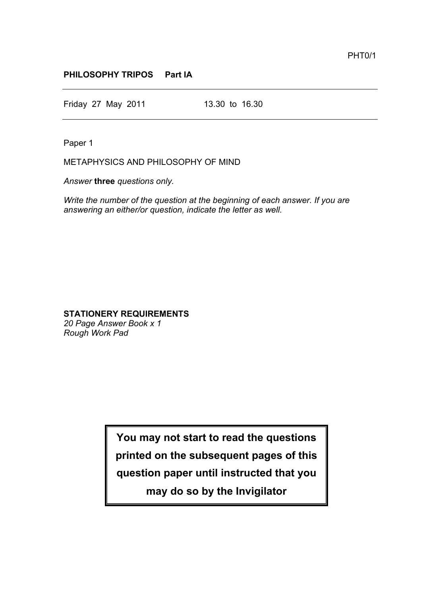## **PHILOSOPHY TRIPOS Part IA**

Friday 27 May 2011 13.30 to 16.30

Paper 1

METAPHYSICS AND PHILOSOPHY OF MIND

*Answer* **three** *questions only.*

*Write the number of the question at the beginning of each answer. If you are answering an either/or question, indicate the letter as well.*

## **STATIONERY REQUIREMENTS**

*20 Page Answer Book x 1 Rough Work Pad*

> **You may not start to read the questions printed on the subsequent pages of this question paper until instructed that you may do so by the Invigilator**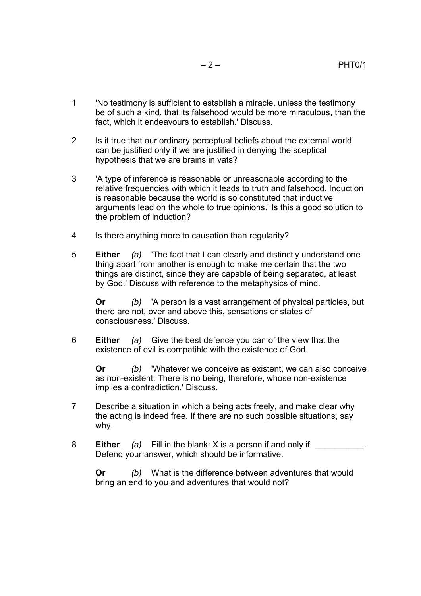- 1 'No testimony is sufficient to establish a miracle, unless the testimony be of such a kind, that its falsehood would be more miraculous, than the fact, which it endeavours to establish.' Discuss.
- 2 Is it true that our ordinary perceptual beliefs about the external world can be justified only if we are justified in denying the sceptical hypothesis that we are brains in vats?
- 3 'A type of inference is reasonable or unreasonable according to the relative frequencies with which it leads to truth and falsehood. Induction is reasonable because the world is so constituted that inductive arguments lead on the whole to true opinions.' Is this a good solution to the problem of induction?
- 4 Is there anything more to causation than regularity?
- 5 **Either** *(a)* 'The fact that I can clearly and distinctly understand one thing apart from another is enough to make me certain that the two things are distinct, since they are capable of being separated, at least by God.' Discuss with reference to the metaphysics of mind.

**Or** *(b)* 'A person is a vast arrangement of physical particles, but there are not, over and above this, sensations or states of consciousness.' Discuss.

6 **Either** *(a)* Give the best defence you can of the view that the existence of evil is compatible with the existence of God.

**Or** *(b)* 'Whatever we conceive as existent, we can also conceive as non-existent. There is no being, therefore, whose non-existence implies a contradiction.' Discuss.

- 7 Describe a situation in which a being acts freely, and make clear why the acting is indeed free. If there are no such possible situations, say why.
- 8 **Either** *(a)* Fill in the blank: X is a person if and only if Defend your answer, which should be informative.

**Or** *(b)* What is the difference between adventures that would bring an end to you and adventures that would not?